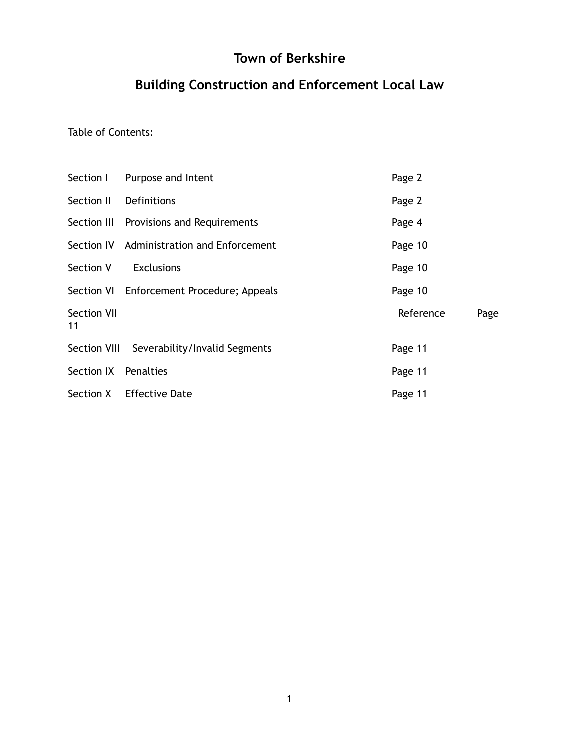# **Town of Berkshire**

# **Building Construction and Enforcement Local Law**

Table of Contents:

|                          | Section I Purpose and Intent               | Page 2    |      |
|--------------------------|--------------------------------------------|-----------|------|
| Section II               | Definitions                                | Page 2    |      |
|                          | Section III Provisions and Requirements    | Page 4    |      |
|                          | Section IV Administration and Enforcement  | Page 10   |      |
| Section V                | <b>Exclusions</b>                          | Page 10   |      |
|                          | Section VI Enforcement Procedure; Appeals  | Page 10   |      |
| <b>Section VII</b><br>11 |                                            | Reference | Page |
|                          | Section VIII Severability/Invalid Segments | Page 11   |      |
| Section IX Penalties     |                                            | Page 11   |      |
|                          | Section X Effective Date                   | Page 11   |      |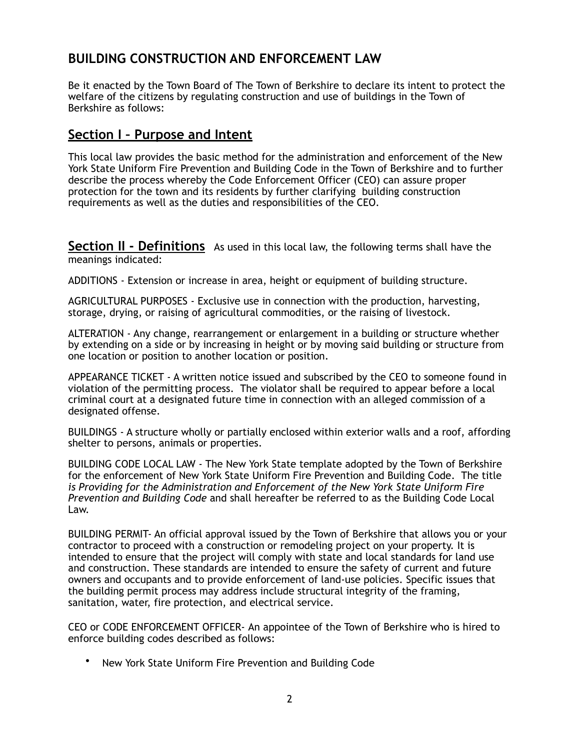# **BUILDING CONSTRUCTION AND ENFORCEMENT LAW**

Be it enacted by the Town Board of The Town of Berkshire to declare its intent to protect the welfare of the citizens by regulating construction and use of buildings in the Town of Berkshire as follows:

#### **Section I – Purpose and Intent**

This local law provides the basic method for the administration and enforcement of the New York State Uniform Fire Prevention and Building Code in the Town of Berkshire and to further describe the process whereby the Code Enforcement Officer (CEO) can assure proper protection for the town and its residents by further clarifying building construction requirements as well as the duties and responsibilities of the CEO.

**Section II - Definitions** As used in this local law, the following terms shall have the meanings indicated:

ADDITIONS - Extension or increase in area, height or equipment of building structure.

AGRICULTURAL PURPOSES - Exclusive use in connection with the production, harvesting, storage, drying, or raising of agricultural commodities, or the raising of livestock.

ALTERATION - Any change, rearrangement or enlargement in a building or structure whether by extending on a side or by increasing in height or by moving said building or structure from one location or position to another location or position.

APPEARANCE TICKET - A written notice issued and subscribed by the CEO to someone found in violation of the permitting process. The violator shall be required to appear before a local criminal court at a designated future time in connection with an alleged commission of a designated offense.

BUILDINGS - A structure wholly or partially enclosed within exterior walls and a roof, affording shelter to persons, animals or properties.

BUILDING CODE LOCAL LAW - The New York State template adopted by the Town of Berkshire for the enforcement of New York State Uniform Fire Prevention and Building Code. The title *is Providing for the Administration and Enforcement of the New York State Uniform Fire Prevention and Building Code* and shall hereafter be referred to as the Building Code Local Law.

BUILDING PERMIT- An official approval issued by the Town of Berkshire that allows you or your contractor to proceed with a construction or remodeling project on your property. It is intended to ensure that the project will comply with state and local standards for land use and construction. These standards are intended to ensure the safety of current and future owners and occupants and to provide enforcement of land-use policies. Specific issues that the [building permit process](https://www.thespruce.com/understanding-building-permits-1398084) may address include structural integrity of the framing, sanitation, water, fire protection, and electrical service.

CEO or CODE ENFORCEMENT OFFICER- An appointee of the Town of Berkshire who is hired to enforce building codes described as follows:

• New York State Uniform Fire Prevention and Building Code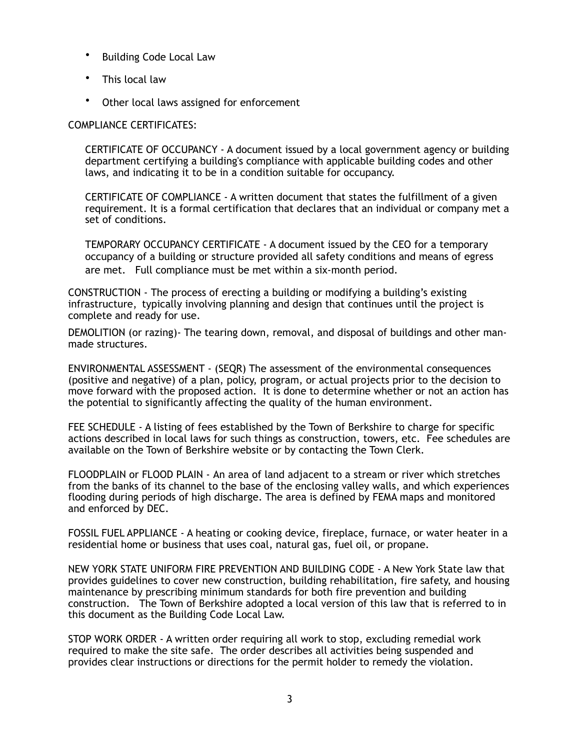- Building Code Local Law
- This local law
- Other local laws assigned for enforcement

#### COMPLIANCE CERTIFICATES:

CERTIFICATE OF OCCUPANCY - A document issued by a local government agency or building department certifying a building's compliance with applicable building codes and other laws, and indicating it to be in a condition suitable for occupancy.

CERTIFICATE OF COMPLIANCE - A written document that states the fulfillment of a given requirement. It is a formal certification that declares that an individual or company met a set of conditions.

TEMPORARY OCCUPANCY CERTIFICATE - A document issued by the CEO for a temporary occupancy of a building or structure provided all safety conditions and means of egress are met. Full compliance must be met within a six-month period.

CONSTRUCTION - The process of erecting a [building](https://en.wikipedia.org/wiki/Building) or modifying a building's existing [infrastructure](https://en.wikipedia.org/wiki/Infrastructure), typically involving planning and design that continues until the project is complete and ready for use.

DEMOLITION (or razing)- The tearing down, removal, and disposal of buildings and other manmade structures.

ENVIRONMENTAL ASSESSMENT - (SEQR) The assessment of the environmental consequences (positive and negative) of a plan, policy, program, or actual projects prior to the decision to move forward with the proposed action. It is done to determine whether or not an action has the potential to significantly affecting the quality of the human environment.

FEE SCHEDULE - A listing of fees established by the Town of Berkshire to charge for specific actions described in local laws for such things as construction, towers, etc. Fee schedules are available on the Town of Berkshire website or by contacting the Town Clerk.

FLOODPLAIN or FLOOD PLAIN - An area of land adjacent to a stream or river which stretches from the banks of its channel to the base of the enclosing valley walls, and which experiences flooding during periods of high discharge. The area is defined by FEMA maps and monitored and enforced by DEC.

FOSSIL FUEL APPLIANCE - A heating or cooking device, fireplace, furnace, or water heater in a residential home or business that uses coal, natural gas, fuel oil, or propane.

NEW YORK STATE UNIFORM FIRE PREVENTION AND BUILDING CODE - A New York State law that provides guidelines to cover new construction, building rehabilitation, fire safety, and housing maintenance by prescribing minimum standards for both fire prevention and building construction. The Town of Berkshire adopted a local version of this law that is referred to in this document as the Building Code Local Law.

STOP WORK ORDER - A written order requiring all work to stop, excluding remedial work required to make the site safe. The order describes all activities being suspended and provides clear instructions or directions for the permit holder to remedy the violation.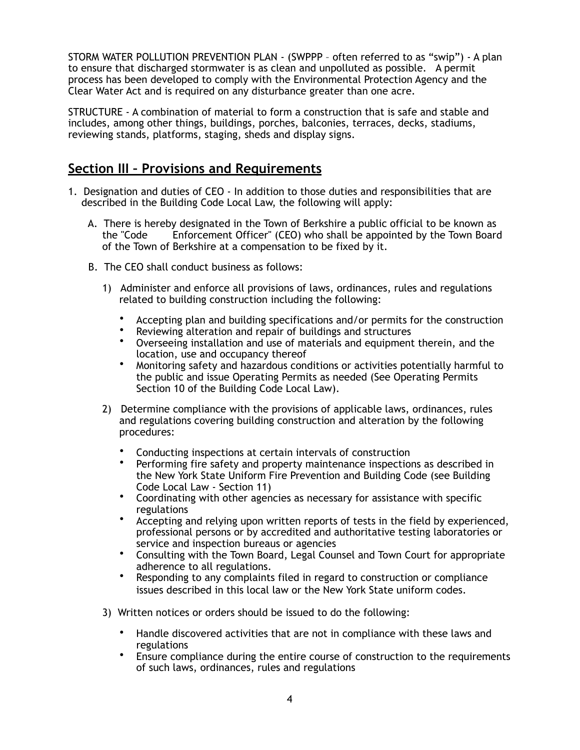STORM WATER POLLUTION PREVENTION PLAN - (SWPPP – often referred to as "swip") - A plan to ensure that discharged stormwater is as clean and unpolluted as possible. A permit process has been developed to comply with the Environmental Protection Agency and the Clear Water Act and is required on any disturbance greater than one acre.

STRUCTURE - A combination of material to form a construction that is safe and stable and includes, among other things, buildings, porches, balconies, terraces, decks, stadiums, reviewing stands, platforms, staging, sheds and display signs.

#### **Section III – Provisions and Requirements**

- 1. Designation and duties of CEO In addition to those duties and responsibilities that are described in the Building Code Local Law, the following will apply:
	- A. There is hereby designated in the Town of Berkshire a public official to be known as the "Code Enforcement Officer" (CEO) who shall be appointed by the Town Board of the Town of Berkshire at a compensation to be fixed by it.
	- B. The CEO shall conduct business as follows:
		- 1) Administer and enforce all provisions of laws, ordinances, rules and regulations related to building construction including the following:
			- Accepting plan and building specifications and/or permits for the construction
			- Reviewing alteration and repair of buildings and structures<br>• Overseaing installation and use of materials and equipment
			- Overseeing installation and use of materials and equipment therein, and the location, use and occupancy thereof
			- Monitoring safety and hazardous conditions or activities potentially harmful to the public and issue Operating Permits as needed (See Operating Permits Section 10 of the Building Code Local Law).
		- 2) Determine compliance with the provisions of applicable laws, ordinances, rules and regulations covering building construction and alteration by the following procedures:
			- Conducting inspections at certain intervals of construction
			- Performing fire safety and property maintenance inspections as described in the New York State Uniform Fire Prevention and Building Code (see Building Code Local Law - Section 11)
			- Coordinating with other agencies as necessary for assistance with specific regulations
			- Accepting and relying upon written reports of tests in the field by experienced, professional persons or by accredited and authoritative testing laboratories or service and inspection bureaus or agencies
			- Consulting with the Town Board, Legal Counsel and Town Court for appropriate adherence to all regulations.
			- Responding to any complaints filed in regard to construction or compliance issues described in this local law or the New York State uniform codes.
		- 3) Written notices or orders should be issued to do the following:
			- Handle discovered activities that are not in compliance with these laws and regulations
			- Ensure compliance during the entire course of construction to the requirements of such laws, ordinances, rules and regulations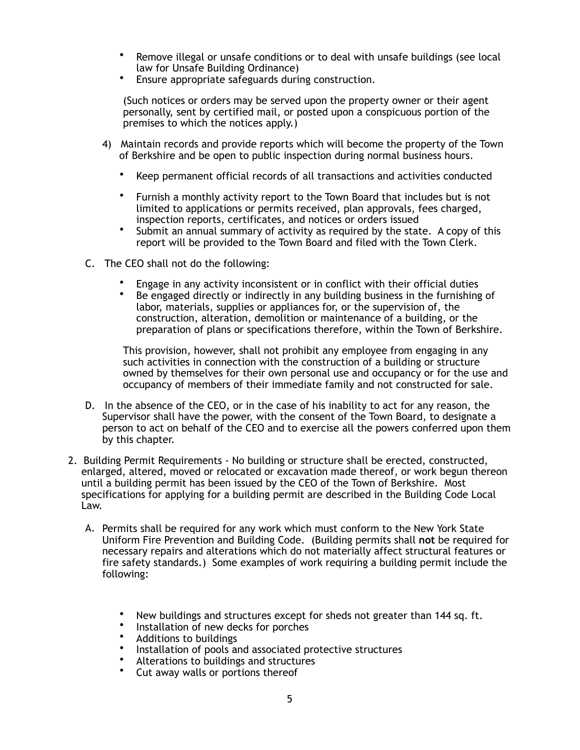- Remove illegal or unsafe conditions or to deal with unsafe buildings (see local law for Unsafe Building Ordinance)
- Ensure appropriate safeguards during construction.

(Such notices or orders may be served upon the property owner or their agent personally, sent by certified mail, or posted upon a conspicuous portion of the premises to which the notices apply.)

- 4) Maintain records and provide reports which will become the property of the Town of Berkshire and be open to public inspection during normal business hours.
	- Keep permanent official records of all transactions and activities conducted
	- Furnish a monthly activity report to the Town Board that includes but is not limited to applications or permits received, plan approvals, fees charged, inspection reports, certificates, and notices or orders issued
	- Submit an annual summary of activity as required by the state. A copy of this report will be provided to the Town Board and filed with the Town Clerk.
- C. The CEO shall not do the following:
	- Engage in any activity inconsistent or in conflict with their official duties
	- Be engaged directly or indirectly in any building business in the furnishing of labor, materials, supplies or appliances for, or the supervision of, the construction, alteration, demolition or maintenance of a building, or the preparation of plans or specifications therefore, within the Town of Berkshire.

This provision, however, shall not prohibit any employee from engaging in any such activities in connection with the construction of a building or structure owned by themselves for their own personal use and occupancy or for the use and occupancy of members of their immediate family and not constructed for sale.

- D. In the absence of the CEO, or in the case of his inability to act for any reason, the Supervisor shall have the power, with the consent of the Town Board, to designate a person to act on behalf of the CEO and to exercise all the powers conferred upon them by this chapter.
- 2. Building Permit Requirements No building or structure shall be erected, constructed, enlarged, altered, moved or relocated or excavation made thereof, or work begun thereon until a building permit has been issued by the CEO of the Town of Berkshire. Most specifications for applying for a building permit are described in the Building Code Local Law.
	- A. Permits shall be required for any work which must conform to the New York State Uniform Fire Prevention and Building Code. (Building permits shall **not** be required for necessary repairs and alterations which do not materially affect structural features or fire safety standards.) Some examples of work requiring a building permit include the following:
		- New buildings and structures except for sheds not greater than 144 sq. ft.
		- Installation of new decks for porches
		- Additions to buildings
		- Installation of pools and associated protective structures
		- Alterations to buildings and structures<br>• Cut away walls or portions thereof
		- Cut away walls or portions thereof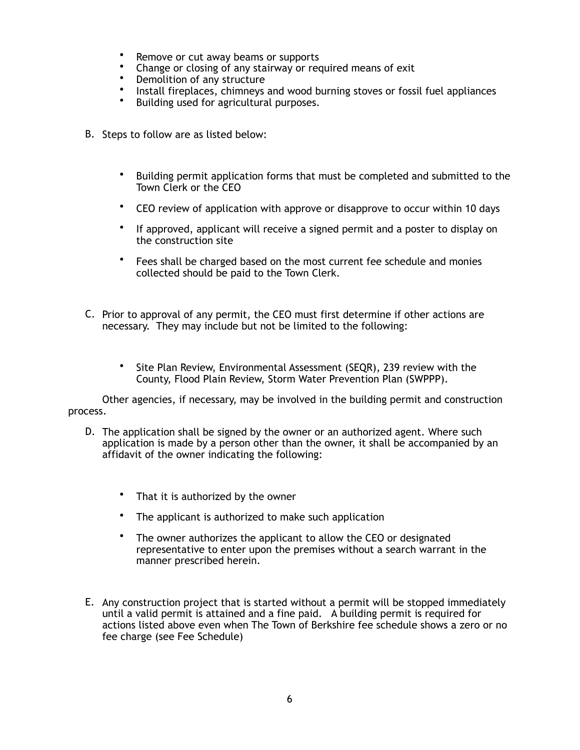- Remove or cut away beams or supports
- Change or closing of any stairway or required means of exit
- Demolition of any structure
- Install fireplaces, chimneys and wood burning stoves or fossil fuel appliances<br>• Building used for agricultural purposes
- Building used for agricultural purposes.
- B. Steps to follow are as listed below:
	- Building permit application forms that must be completed and submitted to the Town Clerk or the CEO
	- CEO review of application with approve or disapprove to occur within 10 days
	- If approved, applicant will receive a signed permit and a poster to display on the construction site
	- Fees shall be charged based on the most current fee schedule and monies collected should be paid to the Town Clerk.
- C. Prior to approval of any permit, the CEO must first determine if other actions are necessary. They may include but not be limited to the following:
	- Site Plan Review, Environmental Assessment (SEQR), 239 review with the County, Flood Plain Review, Storm Water Prevention Plan (SWPPP).

Other agencies, if necessary, may be involved in the building permit and construction process.

- D. The application shall be signed by the owner or an authorized agent. Where such application is made by a person other than the owner, it shall be accompanied by an affidavit of the owner indicating the following:
	- That it is authorized by the owner
	- The applicant is authorized to make such application
	- The owner authorizes the applicant to allow the CEO or designated representative to enter upon the premises without a search warrant in the manner prescribed herein.
- E. Any construction project that is started without a permit will be stopped immediately until a valid permit is attained and a fine paid. A building permit is required for actions listed above even when The Town of Berkshire fee schedule shows a zero or no fee charge (see Fee Schedule)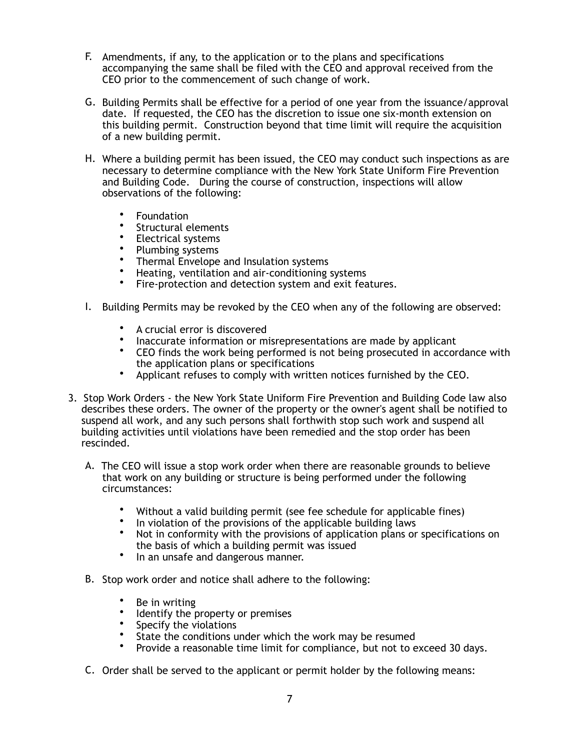- F. Amendments, if any, to the application or to the plans and specifications accompanying the same shall be filed with the CEO and approval received from the CEO prior to the commencement of such change of work.
- G. Building Permits shall be effective for a period of one year from the issuance/approval date. If requested, the CEO has the discretion to issue one six-month extension on this building permit. Construction beyond that time limit will require the acquisition of a new building permit.
- H. Where a building permit has been issued, the CEO may conduct such inspections as are necessary to determine compliance with the New York State Uniform Fire Prevention and Building Code. During the course of construction, inspections will allow observations of the following:
	- Foundation
	- Structural elements<br>• Flectrical systems
	- Electrical systems
	- Plumbing systems<br>• Thermal Envelope
	- Thermal Envelope and Insulation systems
	- Heating, ventilation and air-conditioning systems<br>• Fire-protection and detection system and exit fea
	- Fire-protection and detection system and exit features.
- I. Building Permits may be revoked by the CEO when any of the following are observed:
	- A crucial error is discovered
	- Inaccurate information or misrepresentations are made by applicant
	- CEO finds the work being performed is not being prosecuted in accordance with the application plans or specifications
	- Applicant refuses to comply with written notices furnished by the CEO.
- 3. Stop Work Orders the New York State Uniform Fire Prevention and Building Code law also describes these orders. The owner of the property or the owner's agent shall be notified to suspend all work, and any such persons shall forthwith stop such work and suspend all building activities until violations have been remedied and the stop order has been rescinded.
	- A. The CEO will issue a stop work order when there are reasonable grounds to believe that work on any building or structure is being performed under the following circumstances:
		- Without a valid building permit (see fee schedule for applicable fines)
		- In violation of the provisions of the applicable building laws<br>• Not in conformity with the provisions of application plans or
		- Not in conformity with the provisions of application plans or specifications on the basis of which a building permit was issued
		- In an unsafe and dangerous manner.
	- B. Stop work order and notice shall adhere to the following:
		- Be in writing<br>• Identify the r
		- Identify the property or premises
		- Specify the violations
		- State the conditions under which the work may be resumed<br>• Provide a reasonable time limit for compliance, but not to e
		- Provide a reasonable time limit for compliance, but not to exceed 30 days.
	- C. Order shall be served to the applicant or permit holder by the following means: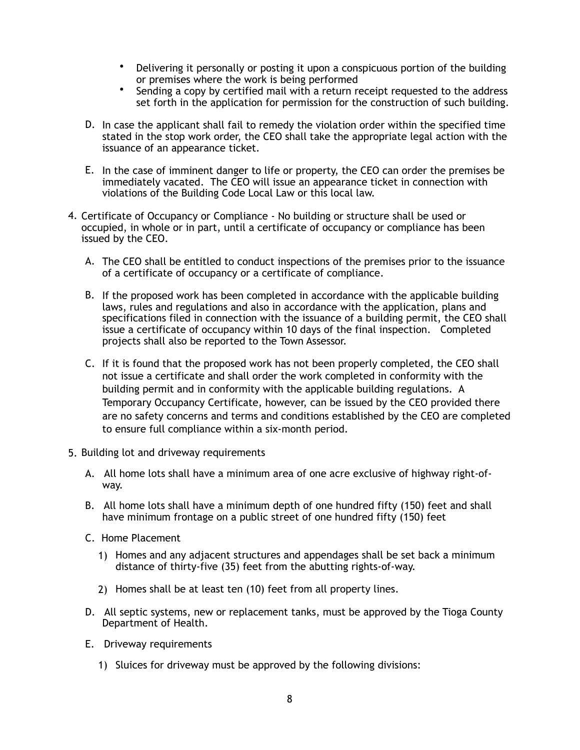- Delivering it personally or posting it upon a conspicuous portion of the building or premises where the work is being performed
- Sending a copy by certified mail with a return receipt requested to the address set forth in the application for permission for the construction of such building.
- D. In case the applicant shall fail to remedy the violation order within the specified time stated in the stop work order, the CEO shall take the appropriate legal action with the issuance of an appearance ticket.
- E. In the case of imminent danger to life or property, the CEO can order the premises be immediately vacated. The CEO will issue an appearance ticket in connection with violations of the Building Code Local Law or this local law.
- 4. Certificate of Occupancy or Compliance No building or structure shall be used or occupied, in whole or in part, until a certificate of occupancy or compliance has been issued by the CEO.
	- A. The CEO shall be entitled to conduct inspections of the premises prior to the issuance of a certificate of occupancy or a certificate of compliance.
	- B. If the proposed work has been completed in accordance with the applicable building laws, rules and regulations and also in accordance with the application, plans and specifications filed in connection with the issuance of a building permit, the CEO shall issue a certificate of occupancy within 10 days of the final inspection. Completed projects shall also be reported to the Town Assessor.
	- C. If it is found that the proposed work has not been properly completed, the CEO shall not issue a certificate and shall order the work completed in conformity with the building permit and in conformity with the applicable building regulations. A Temporary Occupancy Certificate, however, can be issued by the CEO provided there are no safety concerns and terms and conditions established by the CEO are completed to ensure full compliance within a six-month period.
- 5. Building lot and driveway requirements
	- A. All home lots shall have a minimum area of one acre exclusive of highway right-ofway.
	- B. All home lots shall have a minimum depth of one hundred fifty (150) feet and shall have minimum frontage on a public street of one hundred fifty (150) feet
	- C. Home Placement
		- 1) Homes and any adjacent structures and appendages shall be set back a minimum distance of thirty-five (35) feet from the abutting rights-of-way.
		- 2) Homes shall be at least ten (10) feet from all property lines.
	- D. All septic systems, new or replacement tanks, must be approved by the Tioga County Department of Health.
	- E. Driveway requirements
		- 1) Sluices for driveway must be approved by the following divisions: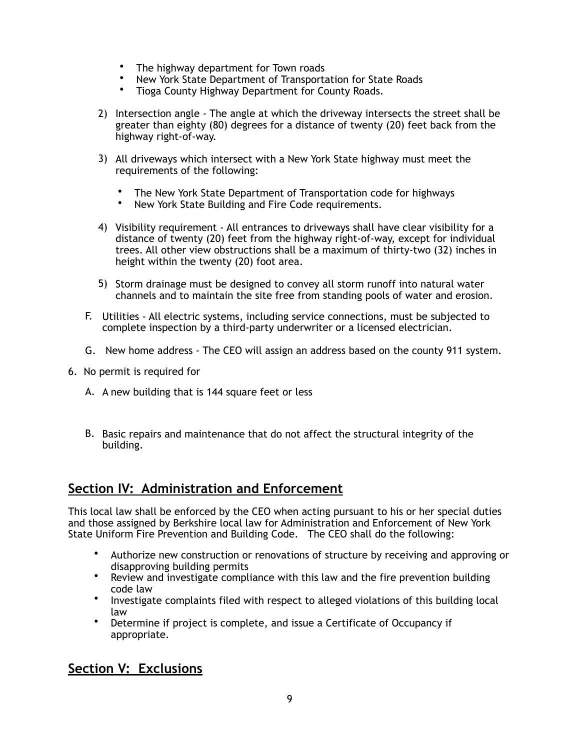- The highway department for Town roads
- New York State Department of Transportation for State Roads
- Tioga County Highway Department for County Roads.
- 2) Intersection angle The angle at which the driveway intersects the street shall be greater than eighty (80) degrees for a distance of twenty (20) feet back from the highway right-of-way.
- 3) All driveways which intersect with a New York State highway must meet the requirements of the following:
	- The New York State Department of Transportation code for highways<br>• New York State Building and Fire Code requirements
	- New York State Building and Fire Code requirements.
- 4) Visibility requirement All entrances to driveways shall have clear visibility for a distance of twenty (20) feet from the highway right-of-way, except for individual trees. All other view obstructions shall be a maximum of thirty-two (32) inches in height within the twenty (20) foot area.
- 5) Storm drainage must be designed to convey all storm runoff into natural water channels and to maintain the site free from standing pools of water and erosion.
- F. Utilities All electric systems, including service connections, must be subjected to complete inspection by a third-party underwriter or a licensed electrician.
- G. New home address The CEO will assign an address based on the county 911 system.
- 6. No permit is required for
	- A. A new building that is 144 square feet or less
	- B. Basic repairs and maintenance that do not affect the structural integrity of the building.

#### **Section IV: Administration and Enforcement**

This local law shall be enforced by the CEO when acting pursuant to his or her special duties and those assigned by Berkshire local law for Administration and Enforcement of New York State Uniform Fire Prevention and Building Code. The CEO shall do the following:

- Authorize new construction or renovations of structure by receiving and approving or disapproving building permits
- Review and investigate compliance with this law and the fire prevention building code law
- Investigate complaints filed with respect to alleged violations of this building local law
- Determine if project is complete, and issue a Certificate of Occupancy if appropriate.

## **Section V: Exclusions**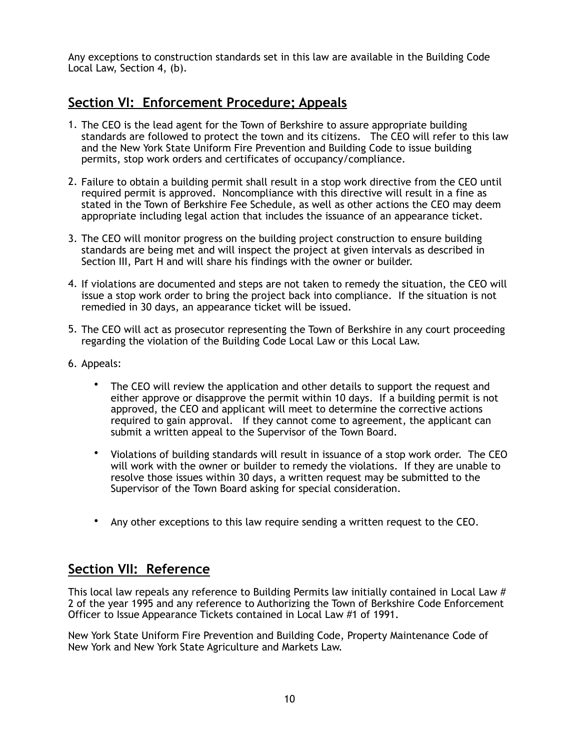Any exceptions to construction standards set in this law are available in the Building Code Local Law, Section 4, (b).

## **Section VI: Enforcement Procedure; Appeals**

- 1. The CEO is the lead agent for the Town of Berkshire to assure appropriate building standards are followed to protect the town and its citizens. The CEO will refer to this law and the New York State Uniform Fire Prevention and Building Code to issue building permits, stop work orders and certificates of occupancy/compliance.
- 2. Failure to obtain a building permit shall result in a stop work directive from the CEO until required permit is approved. Noncompliance with this directive will result in a fine as stated in the Town of Berkshire Fee Schedule, as well as other actions the CEO may deem appropriate including legal action that includes the issuance of an appearance ticket.
- 3. The CEO will monitor progress on the building project construction to ensure building standards are being met and will inspect the project at given intervals as described in Section III, Part H and will share his findings with the owner or builder.
- 4. If violations are documented and steps are not taken to remedy the situation, the CEO will issue a stop work order to bring the project back into compliance. If the situation is not remedied in 30 days, an appearance ticket will be issued.
- 5. The CEO will act as prosecutor representing the Town of Berkshire in any court proceeding regarding the violation of the Building Code Local Law or this Local Law.
- 6. Appeals:
	- The CEO will review the application and other details to support the request and either approve or disapprove the permit within 10 days. If a building permit is not approved, the CEO and applicant will meet to determine the corrective actions required to gain approval. If they cannot come to agreement, the applicant can submit a written appeal to the Supervisor of the Town Board.
	- Violations of building standards will result in issuance of a stop work order. The CEO will work with the owner or builder to remedy the violations. If they are unable to resolve those issues within 30 days, a written request may be submitted to the Supervisor of the Town Board asking for special consideration.
	- Any other exceptions to this law require sending a written request to the CEO.

#### **Section VII: Reference**

This local law repeals any reference to Building Permits law initially contained in Local Law # 2 of the year 1995 and any reference to Authorizing the Town of Berkshire Code Enforcement Officer to Issue Appearance Tickets contained in Local Law #1 of 1991.

New York State Uniform Fire Prevention and Building Code, Property Maintenance Code of New York and New York State Agriculture and Markets Law.